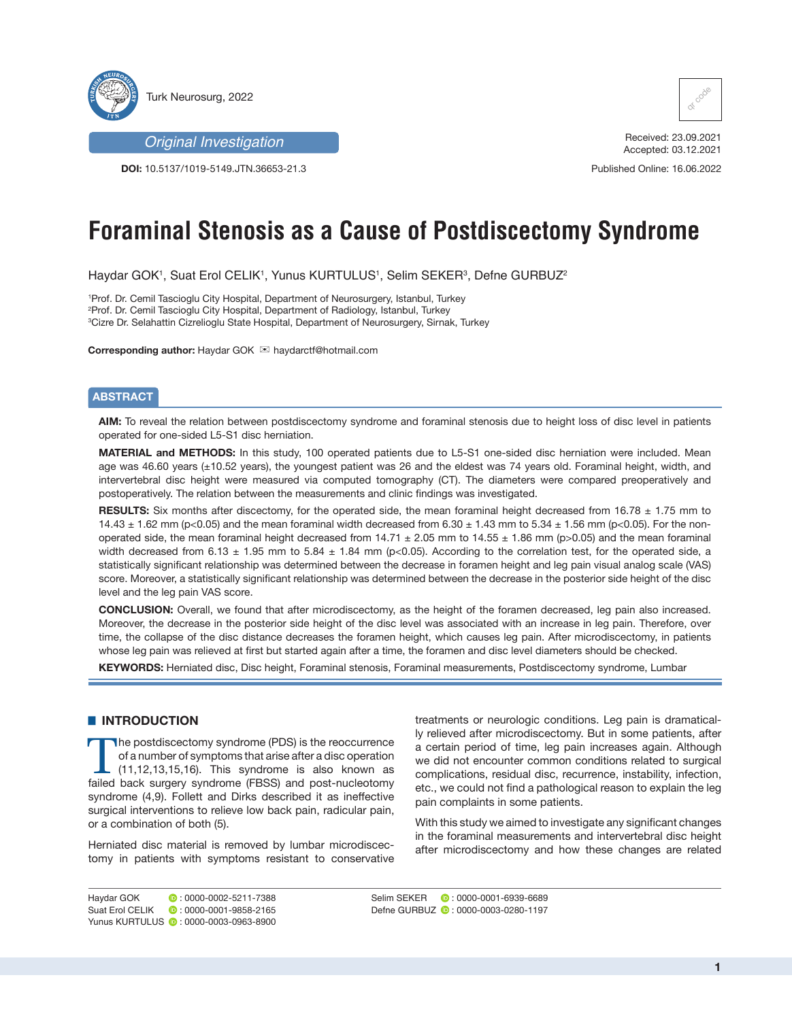



**DOI:** 10.5137/1019-5149.JTN.36653-21.3



Received: 23.09.2021 Accepted: 03.12.2021

Published Online: 16.06.2022

# **Foraminal Stenosis as a Cause of Postdiscectomy Syndrome**

Haydar GOK<sup>1</sup>, Suat Erol CELIK', Yunus KURTULUS', Selim SEKER<sup>3</sup>, Defne GURBUZ<sup>2</sup>

1 Prof. Dr. Cemil Tascioglu City Hospital, Department of Neurosurgery, Istanbul, Turkey 2 Prof. Dr. Cemil Tascioglu City Hospital, Department of Radiology, Istanbul, Turkey 3 Cizre Dr. Selahattin Cizrelioglu State Hospital, Department of Neurosurgery, Sirnak, Turkey

**Corresponding author:** Haydar GOK ⊠ haydarctf@hotmail.com

#### **ABSTRACT**

**AIM:** To reveal the relation between postdiscectomy syndrome and foraminal stenosis due to height loss of disc level in patients operated for one-sided L5-S1 disc herniation.

**MATERIAL and METHODS:** In this study, 100 operated patients due to L5-S1 one-sided disc herniation were included. Mean age was 46.60 years (±10.52 years), the youngest patient was 26 and the eldest was 74 years old. Foraminal height, width, and intervertebral disc height were measured via computed tomography (CT). The diameters were compared preoperatively and postoperatively. The relation between the measurements and clinic findings was investigated.

**RESULTS:** Six months after discectomy, for the operated side, the mean foraminal height decreased from 16.78 ± 1.75 mm to 14.43  $\pm$  1.62 mm (p<0.05) and the mean foraminal width decreased from 6.30  $\pm$  1.43 mm to 5.34  $\pm$  1.56 mm (p<0.05). For the nonoperated side, the mean foraminal height decreased from  $14.71 \pm 2.05$  mm to  $14.55 \pm 1.86$  mm (p>0.05) and the mean foraminal width decreased from 6.13  $\pm$  1.95 mm to 5.84  $\pm$  1.84 mm (p<0.05). According to the correlation test, for the operated side, a statistically significant relationship was determined between the decrease in foramen height and leg pain visual analog scale (VAS) score. Moreover, a statistically significant relationship was determined between the decrease in the posterior side height of the disc level and the leg pain VAS score.

**CONCLUSION:** Overall, we found that after microdiscectomy, as the height of the foramen decreased, leg pain also increased. Moreover, the decrease in the posterior side height of the disc level was associated with an increase in leg pain. Therefore, over time, the collapse of the disc distance decreases the foramen height, which causes leg pain. After microdiscectomy, in patients whose leg pain was relieved at first but started again after a time, the foramen and disc level diameters should be checked.

**KEYWORDS:** Herniated disc, Disc height, Foraminal stenosis, Foraminal measurements, Postdiscectomy syndrome, Lumbar

### █ **INTRODUCTION**

The postdiscectomy syndrome (PDS) is the reoccurrence of a number of symptoms that arise after a disc operation (11,12,13,15,16). This syndrome is also known as failed back surgery syndrome (FBSS) and post-nucleotomy syndrome (4,9). Follett and Dirks described it as ineffective surgical interventions to relieve low back pain, radicular pain, or a combination of both (5).

Herniated disc material is removed by lumbar microdiscectomy in patients with symptoms resistant to conservative

treatments or neurologic conditions. Leg pain is dramatically relieved after microdiscectomy. But in some patients, after a certain period of time, leg pain increases again. Although we did not encounter common conditions related to surgical complications, residual disc, recurrence, instability, infection, etc., we could not find a pathological reason to explain the leg pain complaints in some patients.

With this study we aimed to investigate any significant changes in the foraminal measurements and intervertebral disc height after microdiscectomy and how these changes are related

Haydar GOK **: 0000-0002-5211-7388** Suat Erol CELIK **:** 0000-0001-9858-2165 Yunus KURTULUS **D** · 0000-0003-0963-8900 SelimSEKER **: 0000-0001-6939-6689** DefneGURBUZ **:** 0000-0003-0280-1197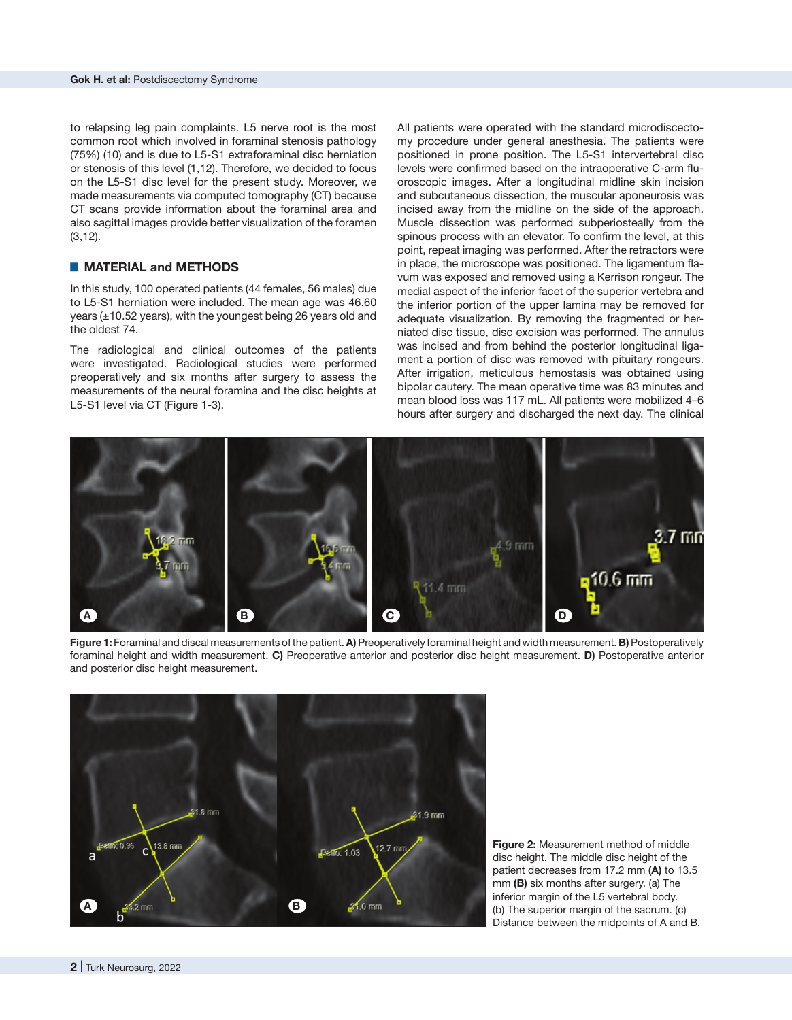to relapsing leg pain complaints. L5 nerve root is the most common root which involved in foraminal stenosis pathology (75%) (10) and is due to L5-S1 extraforaminal disc herniation or stenosis of this level (1,12). Therefore, we decided to focus on the L5-S1 disc level for the present study. Moreover, we made measurements via computed tomography (CT) because CT scans provide information about the foraminal area and also sagittal images provide better visualization of the foramen (3,12).

# █ **MATERIAL and METHODS**

In this study, 100 operated patients (44 females, 56 males) due to L5-S1 herniation were included. The mean age was 46.60 years (±10.52 years), with the youngest being 26 years old and the oldest 74.

The radiological and clinical outcomes of the patients were investigated. Radiological studies were performed preoperatively and six months after surgery to assess the measurements of the neural foramina and the disc heights at L5-S1 level via CT (Figure 1-3).

All patients were operated with the standard microdiscectomy procedure under general anesthesia. The patients were positioned in prone position. The L5-S1 intervertebral disc levels were confirmed based on the intraoperative C-arm fluoroscopic images. After a longitudinal midline skin incision and subcutaneous dissection, the muscular aponeurosis was incised away from the midline on the side of the approach. Muscle dissection was performed subperiosteally from the spinous process with an elevator. To confirm the level, at this point, repeat imaging was performed. After the retractors were in place, the microscope was positioned. The ligamentum flavum was exposed and removed using a Kerrison rongeur. The medial aspect of the inferior facet of the superior vertebra and the inferior portion of the upper lamina may be removed for adequate visualization. By removing the fragmented or herniated disc tissue, disc excision was performed. The annulus was incised and from behind the posterior longitudinal ligament a portion of disc was removed with pituitary rongeurs. After irrigation, meticulous hemostasis was obtained using bipolar cautery. The mean operative time was 83 minutes and mean blood loss was 117 mL. All patients were mobilized 4–6 hours after surgery and discharged the next day. The clinical



**Figure 1:** Foraminal and discal measurements of the patient. **A)** Preoperatively foraminal height and width measurement. **B)** Postoperatively foraminal height and width measurement. **C)** Preoperative anterior and posterior disc height measurement. **D)** Postoperative anterior and posterior disc height measurement.



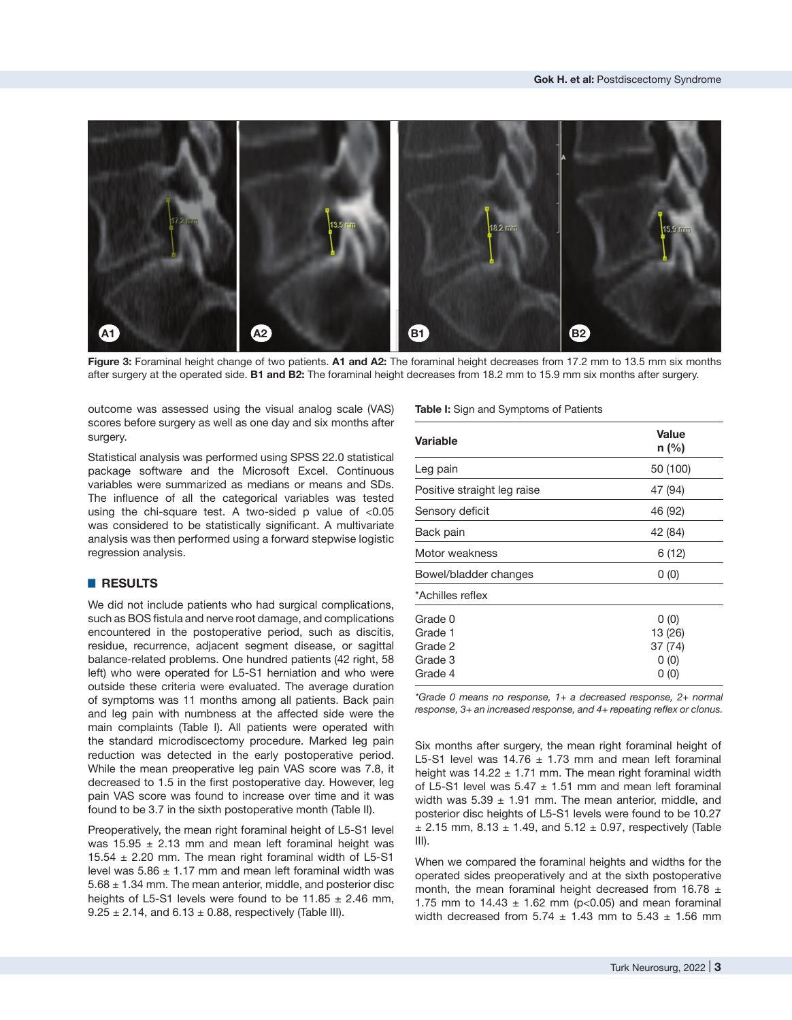

**Figure 3:** Foraminal height change of two patients. **A1 and A2:** The foraminal height decreases from 17.2 mm to 13.5 mm six months after surgery at the operated side. **B1 and B2:** The foraminal height decreases from 18.2 mm to 15.9 mm six months after surgery.

outcome was assessed using the visual analog scale (VAS) scores before surgery as well as one day and six months after surgery.

Statistical analysis was performed using SPSS 22.0 statistical package software and the Microsoft Excel. Continuous variables were summarized as medians or means and SDs. The influence of all the categorical variables was tested using the chi-square test. A two-sided p value of <0.05 was considered to be statistically significant. A multivariate analysis was then performed using a forward stepwise logistic regression analysis.

# █ **RESULTS**

We did not include patients who had surgical complications, such as BOS fistula and nerve root damage, and complications encountered in the postoperative period, such as discitis, residue, recurrence, adjacent segment disease, or sagittal balance-related problems. One hundred patients (42 right, 58 left) who were operated for L5-S1 herniation and who were outside these criteria were evaluated. The average duration of symptoms was 11 months among all patients. Back pain and leg pain with numbness at the affected side were the main complaints (Table I). All patients were operated with the standard microdiscectomy procedure. Marked leg pain reduction was detected in the early postoperative period. While the mean preoperative leg pain VAS score was 7.8, it decreased to 1.5 in the first postoperative day. However, leg pain VAS score was found to increase over time and it was found to be 3.7 in the sixth postoperative month (Table II).

Preoperatively, the mean right foraminal height of L5-S1 level was 15.95  $\pm$  2.13 mm and mean left foraminal height was 15.54  $\pm$  2.20 mm. The mean right foraminal width of L5-S1 level was  $5.86 \pm 1.17$  mm and mean left foraminal width was  $5.68 \pm 1.34$  mm. The mean anterior, middle, and posterior disc heights of L5-S1 levels were found to be  $11.85 \pm 2.46$  mm,  $9.25 \pm 2.14$ , and  $6.13 \pm 0.88$ , respectively (Table III).

**Table I:** Sign and Symptoms of Patients

| <b>Variable</b>                                     | Value<br>$n$ (%)                            |
|-----------------------------------------------------|---------------------------------------------|
| Leg pain                                            | 50 (100)                                    |
| Positive straight leg raise                         | 47 (94)                                     |
| Sensory deficit                                     | 46 (92)                                     |
| Back pain                                           | 42 (84)                                     |
| Motor weakness                                      | 6 (12)                                      |
| Bowel/bladder changes                               | 0(0)                                        |
| *Achilles reflex                                    |                                             |
| Grade 0<br>Grade 1<br>Grade 2<br>Grade 3<br>Grade 4 | 0(0)<br>13 (26)<br>37 (74)<br>0(0)<br>0 (0) |

*\*Grade 0 means no response, 1+ a decreased response, 2+ normal response, 3+ an increased response, and 4+ repeating reflex or clonus.*

Six months after surgery, the mean right foraminal height of L5-S1 level was 14.76  $\pm$  1.73 mm and mean left foraminal height was  $14.22 \pm 1.71$  mm. The mean right foraminal width of L5-S1 level was  $5.47 \pm 1.51$  mm and mean left foraminal width was  $5.39 \pm 1.91$  mm. The mean anterior, middle, and posterior disc heights of L5-S1 levels were found to be 10.27  $± 2.15$  mm,  $8.13 ± 1.49$ , and  $5.12 ± 0.97$ , respectively (Table III).

When we compared the foraminal heights and widths for the operated sides preoperatively and at the sixth postoperative month, the mean foraminal height decreased from 16.78  $\pm$ 1.75 mm to  $14.43 \pm 1.62$  mm (p<0.05) and mean foraminal width decreased from  $5.74 \pm 1.43$  mm to  $5.43 \pm 1.56$  mm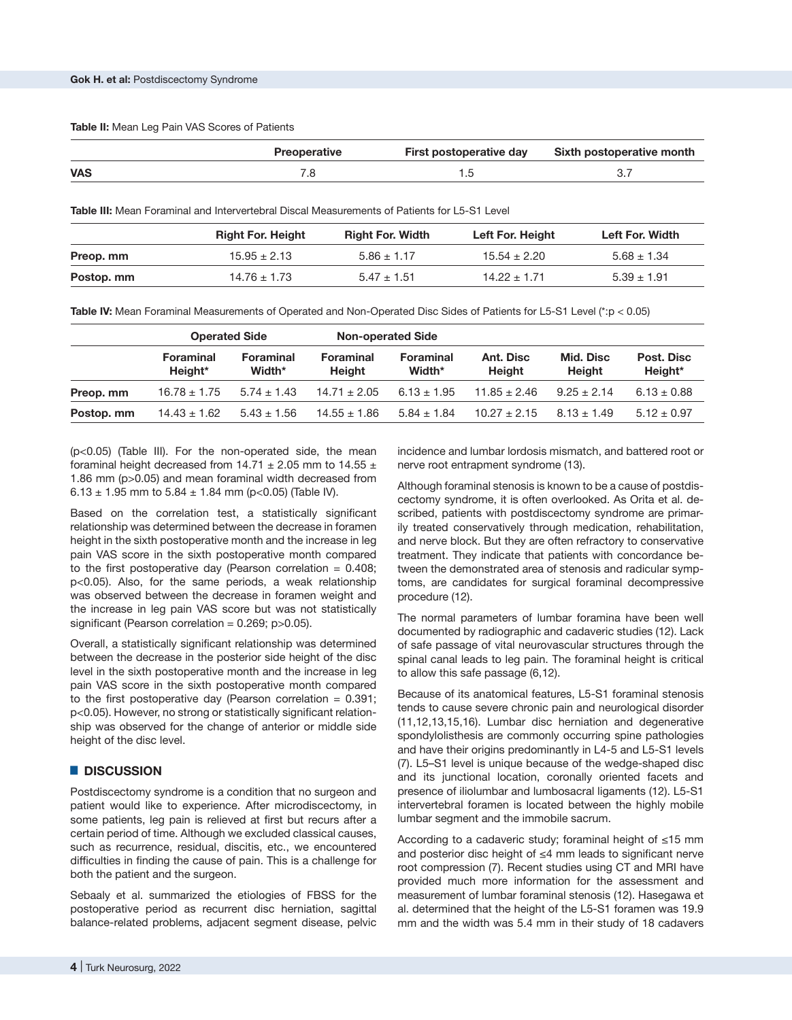**Table II:** Mean Leg Pain VAS Scores of Patients

|            | Preoperative |  | Sixth postoperative month |  |
|------------|--------------|--|---------------------------|--|
| <b>VAS</b> |              |  |                           |  |

**Table III:** Mean Foraminal and Intervertebral Discal Measurements of Patients for L5-S1 Level

|            | <b>Right For. Height</b> | <b>Right For. Width</b> | Left For. Height | Left For. Width |
|------------|--------------------------|-------------------------|------------------|-----------------|
| Preop. mm  | $15.95 \pm 2.13$         | $5.86 \pm 1.17$         | $15.54 \pm 2.20$ | $5.68 \pm 1.34$ |
| Postop. mm | $14.76 \pm 1.73$         | $5.47 \pm 1.51$         | $14.22 \pm 1.71$ | $5.39 \pm 1.91$ |

**Table IV:** Mean Foraminal Measurements of Operated and Non-Operated Disc Sides of Patients for L5-S1 Level (\*:p < 0.05)

|            | <b>Operated Side</b>        |                            | <b>Non-operated Side</b>   |                            |                     |                                   |                       |
|------------|-----------------------------|----------------------------|----------------------------|----------------------------|---------------------|-----------------------------------|-----------------------|
|            | <b>Foraminal</b><br>Height* | <b>Foraminal</b><br>Width* | <b>Foraminal</b><br>Height | <b>Foraminal</b><br>Width* | Ant. Disc<br>Height | <b>Mid. Disc</b><br><b>Height</b> | Post. Disc<br>Height* |
| Preop. mm  | $16.78 \pm 1.75$            | $5.74 + 1.43$              | $14.71 \pm 2.05$           | $6.13 \pm 1.95$            | $11.85 \pm 2.46$    | $9.25 + 2.14$                     | $6.13 \pm 0.88$       |
| Postop. mm | $14.43 \pm 1.62$            | $5.43 + 1.56$              | $14.55 \pm 1.86$           | $5.84 \pm 1.84$            | $10.27 + 2.15$      | $8.13 + 1.49$                     | $5.12 \pm 0.97$       |

(p<0.05) (Table III). For the non-operated side, the mean foraminal height decreased from  $14.71 \pm 2.05$  mm to  $14.55 \pm 1.5$ 1.86 mm (p>0.05) and mean foraminal width decreased from 6.13  $\pm$  1.95 mm to 5.84  $\pm$  1.84 mm (p<0.05) (Table IV).

Based on the correlation test, a statistically significant relationship was determined between the decrease in foramen height in the sixth postoperative month and the increase in leg pain VAS score in the sixth postoperative month compared to the first postoperative day (Pearson correlation  $= 0.408$ ; p<0.05). Also, for the same periods, a weak relationship was observed between the decrease in foramen weight and the increase in leg pain VAS score but was not statistically significant (Pearson correlation =  $0.269$ ;  $p > 0.05$ ).

Overall, a statistically significant relationship was determined between the decrease in the posterior side height of the disc level in the sixth postoperative month and the increase in leg pain VAS score in the sixth postoperative month compared to the first postoperative day (Pearson correlation  $= 0.391$ ; p<0.05). However, no strong or statistically significant relationship was observed for the change of anterior or middle side height of the disc level.

#### █ **DISCUSSION**

Postdiscectomy syndrome is a condition that no surgeon and patient would like to experience. After microdiscectomy, in some patients, leg pain is relieved at first but recurs after a certain period of time. Although we excluded classical causes, such as recurrence, residual, discitis, etc., we encountered difficulties in finding the cause of pain. This is a challenge for both the patient and the surgeon.

Sebaaly et al. summarized the etiologies of FBSS for the postoperative period as recurrent disc herniation, sagittal balance-related problems, adjacent segment disease, pelvic

incidence and lumbar lordosis mismatch, and battered root or nerve root entrapment syndrome (13).

Although foraminal stenosis is known to be a cause of postdiscectomy syndrome, it is often overlooked. As Orita et al. described, patients with postdiscectomy syndrome are primarily treated conservatively through medication, rehabilitation, and nerve block. But they are often refractory to conservative treatment. They indicate that patients with concordance between the demonstrated area of stenosis and radicular symptoms, are candidates for surgical foraminal decompressive procedure (12).

The normal parameters of lumbar foramina have been well documented by radiographic and cadaveric studies (12). Lack of safe passage of vital neurovascular structures through the spinal canal leads to leg pain. The foraminal height is critical to allow this safe passage (6,12).

Because of its anatomical features, L5-S1 foraminal stenosis tends to cause severe chronic pain and neurological disorder (11,12,13,15,16). Lumbar disc herniation and degenerative spondylolisthesis are commonly occurring spine pathologies and have their origins predominantly in L4-5 and L5-S1 levels (7). L5–S1 level is unique because of the wedge-shaped disc and its junctional location, coronally oriented facets and presence of iliolumbar and lumbosacral ligaments (12). L5-S1 intervertebral foramen is located between the highly mobile lumbar segment and the immobile sacrum.

According to a cadaveric study; foraminal height of ≤15 mm and posterior disc height of ≤4 mm leads to significant nerve root compression (7). Recent studies using CT and MRI have provided much more information for the assessment and measurement of lumbar foraminal stenosis (12). Hasegawa et al. determined that the height of the L5-S1 foramen was 19.9 mm and the width was 5.4 mm in their study of 18 cadavers